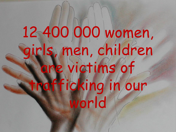# 12 400 000 women, girls, men, children are victims of trafficking in our world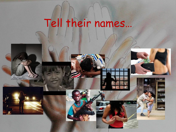#### Tell their names…

 $\mathcal{A}$ 



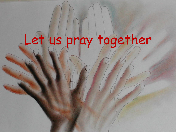# Let us pray together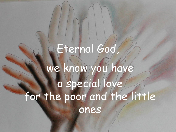## Eternal God we know you have a special love for the poor and the little ones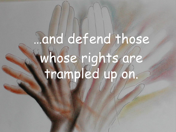# …and defend those whose rights are trampled up on.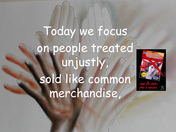## Today we focus on people treated unjustly, sold like common merchandise,

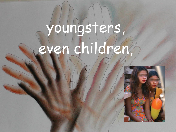# youngsters, even children,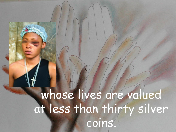#### whose lives are valued at less than thirty silver coins.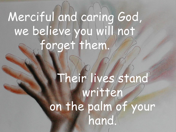## Merciful and caring God, we believe you will not forget them.

## Their lives stand written on the palm of your hand.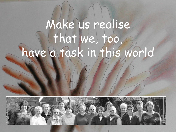#### Make us realise that we, too, have a task in this world

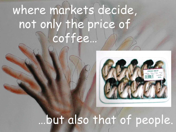#### where markets decide, not only the price of coffee…



# …but also that of people.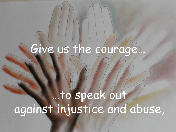# Give us the courage…

#### …to speak out against injustice and abuse,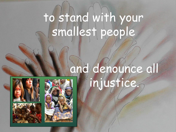#### to stand with your smallest people

# and denounce all injustice.



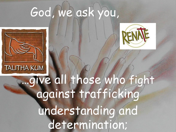## God, we ask you,





## …give all those who fight against trafficking understanding and determination;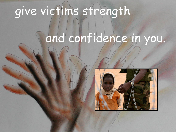# give victims strength

# and confidence in you.

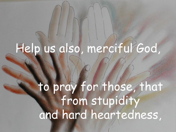# Help us also, merciful God,

#### to pray for those, that from stupidity and hard heartedness,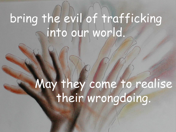#### bring the evil of trafficking into our world.

#### May they come to realise their wrongdoing.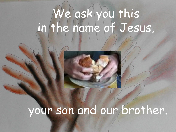# We ask you this in the name of Jesus,

# your son and our brother.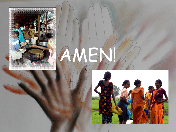

# AMEN!